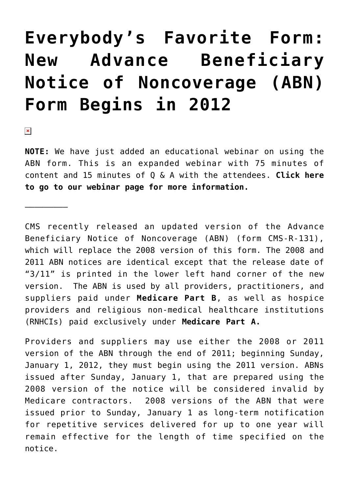# **[Everybody's Favorite Form:](https://managemypractice.com/everybodys-favorite-form-new-advance-beneficiary-notice-of-noncoverage-abn-form-begins-in-2012/) [New Advance Beneficiary](https://managemypractice.com/everybodys-favorite-form-new-advance-beneficiary-notice-of-noncoverage-abn-form-begins-in-2012/) [Notice of Noncoverage \(ABN\)](https://managemypractice.com/everybodys-favorite-form-new-advance-beneficiary-notice-of-noncoverage-abn-form-begins-in-2012/) [Form Begins in 2012](https://managemypractice.com/everybodys-favorite-form-new-advance-beneficiary-notice-of-noncoverage-abn-form-begins-in-2012/)**

 $\pmb{\times}$ 

—————————

**NOTE:** We have just added an educational webinar on using the ABN form. This is an expanded webinar with 75 minutes of content and 15 minutes of Q & A with the attendees. **[Click here](https://managemypractice.com/services/webinars/) [to go to our webinar page for more information.](https://managemypractice.com/services/webinars/)**

CMS recently released an updated version of the Advance Beneficiary Notice of Noncoverage (ABN) (form CMS-R-131), which will replace the 2008 version of this form. The 2008 and 2011 ABN notices are identical except that the release date of "3/11" is printed in the lower left hand corner of the new version. The ABN is used by all providers, practitioners, and suppliers paid under **Medicare Part B**, as well as hospice providers and religious non-medical healthcare institutions (RNHCIs) paid exclusively under **Medicare Part A.**

Providers and suppliers may use either the 2008 or 2011 version of the ABN through the end of 2011; beginning Sunday, January 1, 2012, they must begin using the 2011 version. ABNs issued after Sunday, January 1, that are prepared using the 2008 version of the notice will be considered invalid by Medicare contractors. 2008 versions of the ABN that were issued prior to Sunday, January 1 as long-term notification for repetitive services delivered for up to one year will remain effective for the length of time specified on the notice.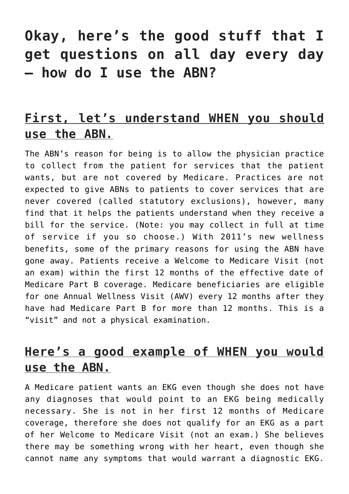# **Okay, here's the good stuff that I get questions on all day every day – how do I use the ABN?**

#### **First, let's understand WHEN you should use the ABN.**

The ABN's reason for being is to allow the physician practice to collect from the patient for services that the patient wants, but are not covered by Medicare. Practices are not expected to give ABNs to patients to cover services that are never covered (called statutory exclusions), however, many find that it helps the patients understand when they receive a bill for the service. (Note: you may collect in full at time of service if you so choose.) With 2011's new wellness benefits, some of the primary reasons for using the ABN have gone away. Patients receive a Welcome to Medicare Visit (not an exam) within the first 12 months of the effective date of Medicare Part B coverage. Medicare beneficiaries are eligible for one Annual Wellness Visit (AWV) every 12 months after they have had Medicare Part B for more than 12 months. This is a "visit" and not a physical examination.

#### **Here's a good example of WHEN you would use the ABN.**

A Medicare patient wants an EKG even though she does not have any diagnoses that would point to an EKG being medically necessary. She is not in her first 12 months of Medicare coverage, therefore she does not qualify for an EKG as a part of her Welcome to Medicare Visit (not an exam.) She believes there may be something wrong with her heart, even though she cannot name any symptoms that would warrant a diagnostic EKG.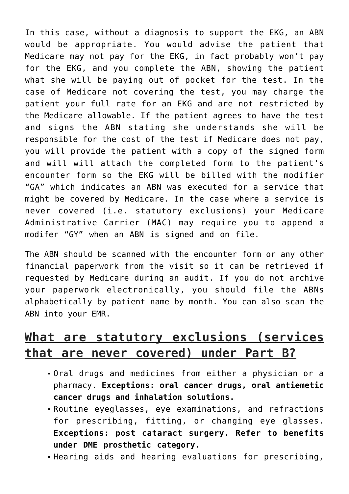In this case, without a diagnosis to support the EKG, an ABN would be appropriate. You would advise the patient that Medicare may not pay for the EKG, in fact probably won't pay for the EKG, and you complete the ABN, showing the patient what she will be paying out of pocket for the test. In the case of Medicare not covering the test, you may charge the patient your full rate for an EKG and are not restricted by the Medicare allowable. If the patient agrees to have the test and signs the ABN stating she understands she will be responsible for the cost of the test if Medicare does not pay, you will provide the patient with a copy of the signed form and will will attach the completed form to the patient's encounter form so the EKG will be billed with the modifier "GA" which indicates an ABN was executed for a service that might be covered by Medicare. In the case where a service is never covered (i.e. statutory exclusions) your Medicare Administrative Carrier (MAC) may require you to append a modifer "GY" when an ABN is signed and on file.

The ABN should be scanned with the encounter form or any other financial paperwork from the visit so it can be retrieved if requested by Medicare during an audit. If you do not archive your paperwork electronically, you should file the ABNs alphabetically by patient name by month. You can also scan the ABN into your EMR.

#### **What are statutory exclusions (services that are never covered) under Part B?**

- Oral drugs and medicines from either a physician or a pharmacy. **Exceptions: oral cancer drugs, oral antiemetic cancer drugs and inhalation solutions.**
- Routine eyeglasses, eye examinations, and refractions for prescribing, fitting, or changing eye glasses. **Exceptions: post cataract surgery. Refer to benefits under DME prosthetic category.**
- Hearing aids and hearing evaluations for prescribing,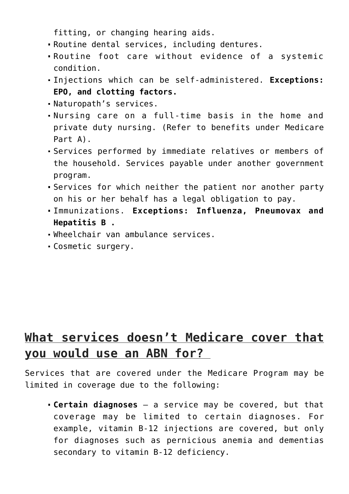fitting, or changing hearing aids.

- Routine dental services, including dentures.
- Routine foot care without evidence of a systemic condition.
- Injections which can be self-administered. **Exceptions: EPO, and clotting factors.**
- Naturopath's services.
- Nursing care on a full-time basis in the home and private duty nursing. (Refer to benefits under Medicare Part A).
- Services performed by immediate relatives or members of the household. Services payable under another government program.
- Services for which neither the patient nor another party on his or her behalf has a legal obligation to pay.
- Immunizations. **Exceptions: Influenza, Pneumovax and Hepatitis B .**
- Wheelchair van ambulance services.
- Cosmetic surgery.

#### **What services doesn't Medicare cover that you would use an ABN for?**

Services that are covered under the Medicare Program may be limited in coverage due to the following:

**Certain diagnoses** – a service may be covered, but that coverage may be limited to certain diagnoses. For example, vitamin B-12 injections are covered, but only for diagnoses such as pernicious anemia and dementias secondary to vitamin B-12 deficiency.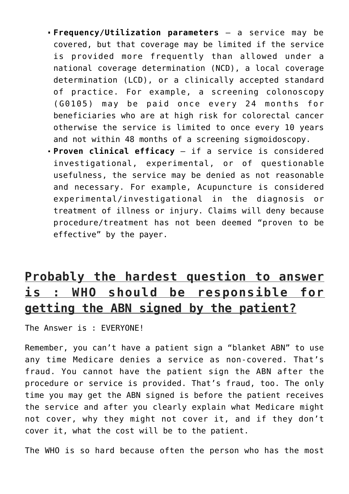- **Frequency/Utilization parameters** a service may be covered, but that coverage may be limited if the service is provided more frequently than allowed under a national coverage determination (NCD), a local coverage determination (LCD), or a clinically accepted standard of practice. For example, a screening colonoscopy (G0105) may be paid once every 24 months for beneficiaries who are at high risk for colorectal cancer otherwise the service is limited to once every 10 years and not within 48 months of a screening sigmoidoscopy.
- **Proven clinical efficacy** if a service is considered investigational, experimental, or of questionable usefulness, the service may be denied as not reasonable and necessary. For example, Acupuncture is considered experimental/investigational in the diagnosis or treatment of illness or injury. Claims will deny because procedure/treatment has not been deemed "proven to be effective" by the payer.

## **Probably the hardest question to answer is : WHO should be responsible for getting the ABN signed by the patient?**

The Answer is : EVERYONE!

Remember, you can't have a patient sign a "blanket ABN" to use any time Medicare denies a service as non-covered. That's fraud. You cannot have the patient sign the ABN after the procedure or service is provided. That's fraud, too. The only time you may get the ABN signed is before the patient receives the service and after you clearly explain what Medicare might not cover, why they might not cover it, and if they don't cover it, what the cost will be to the patient.

The WHO is so hard because often the person who has the most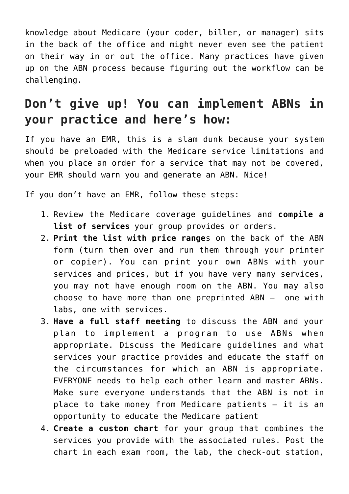knowledge about Medicare (your coder, biller, or manager) sits in the back of the office and might never even see the patient on their way in or out the office. Many practices have given up on the ABN process because figuring out the workflow can be challenging.

## **Don't give up! You can implement ABNs in your practice and here's how:**

If you have an EMR, this is a slam dunk because your system should be preloaded with the Medicare service limitations and when you place an order for a service that may not be covered, your EMR should warn you and generate an ABN. Nice!

If you don't have an EMR, follow these steps:

- 1. Review the Medicare coverage guidelines and **compile a list of services** your group provides or orders.
- 2. **Print the list with price range**s on the back of the ABN form (turn them over and run them through your printer or copier). You can print your own ABNs with your services and prices, but if you have very many services, you may not have enough room on the ABN. You may also choose to have more than one preprinted ABN – one with labs, one with services.
- 3. **Have a full staff meeting** to discuss the ABN and your plan to implement a program to use ABNs when appropriate. Discuss the Medicare guidelines and what services your practice provides and educate the staff on the circumstances for which an ABN is appropriate. EVERYONE needs to help each other learn and master ABNs. Make sure everyone understands that the ABN is not in place to take money from Medicare patients – it is an opportunity to educate the Medicare patient
- 4. **Create a custom chart** for your group that combines the services you provide with the associated rules. Post the chart in each exam room, the lab, the check-out station,